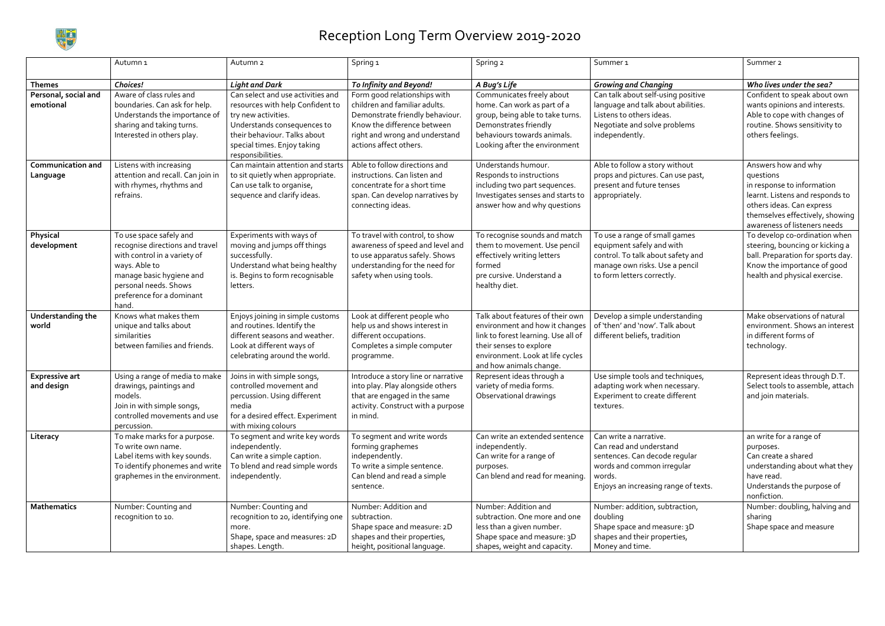

## Reception Long Term Overview 2019-2020

|                                      | Autumn <sub>1</sub>                                                                                                                                                                                    | Autumn <sub>2</sub>                                                                                                                                                                                             | Spring 1                                                                                                                                                                                   | Spring 2                                                                                                                                                                                            | Summer <sub>1</sub>                                                                                                                                                | Summer <sub>2</sub>                                                                                                                                                                               |
|--------------------------------------|--------------------------------------------------------------------------------------------------------------------------------------------------------------------------------------------------------|-----------------------------------------------------------------------------------------------------------------------------------------------------------------------------------------------------------------|--------------------------------------------------------------------------------------------------------------------------------------------------------------------------------------------|-----------------------------------------------------------------------------------------------------------------------------------------------------------------------------------------------------|--------------------------------------------------------------------------------------------------------------------------------------------------------------------|---------------------------------------------------------------------------------------------------------------------------------------------------------------------------------------------------|
| <b>Themes</b>                        | <b>Choices!</b>                                                                                                                                                                                        | <b>Light and Dark</b>                                                                                                                                                                                           | To Infinity and Beyond!                                                                                                                                                                    | A Bug's Life                                                                                                                                                                                        | <b>Growing and Changing</b>                                                                                                                                        | Who lives under the sea?                                                                                                                                                                          |
| Personal, social and<br>emotional    | Aware of class rules and<br>boundaries. Can ask for help.<br>Understands the importance of<br>sharing and taking turns.<br>Interested in others play.                                                  | Can select and use activities and<br>resources with help Confident to<br>try new activities.<br>Understands consequences to<br>their behaviour. Talks about<br>special times. Enjoy taking<br>responsibilities. | Form good relationships with<br>children and familiar adults.<br>Demonstrate friendly behaviour<br>Know the difference between<br>right and wrong and understand<br>actions affect others. | Communicates freely about<br>home. Can work as part of a<br>group, being able to take turns.<br>Demonstrates friendly<br>behaviours towards animals.<br>Looking after the environment               | Can talk about self-using positive<br>language and talk about abilities.<br>Listens to others ideas.<br>Negotiate and solve problems<br>independently.             | Confident to speak about own<br>wants opinions and interests.<br>Able to cope with changes of<br>routine. Shows sensitivity to<br>others feelings.                                                |
| <b>Communication and</b><br>Language | Listens with increasing<br>attention and recall. Can join in<br>with rhymes, rhythms and<br>refrains.                                                                                                  | Can maintain attention and starts<br>to sit quietly when appropriate.<br>Can use talk to organise,<br>sequence and clarify ideas.                                                                               | Able to follow directions and<br>instructions. Can listen and<br>concentrate for a short time<br>span. Can develop narratives by<br>connecting ideas.                                      | Understands humour.<br>Responds to instructions<br>including two part sequences.<br>Investigates senses and starts to<br>answer how and why questions                                               | Able to follow a story without<br>props and pictures. Can use past,<br>present and future tenses<br>appropriately.                                                 | Answers how and why<br>questions<br>in response to information<br>learnt. Listens and responds to<br>others ideas. Can express<br>themselves effectively, showing<br>awareness of listeners needs |
| Physical<br>development              | To use space safely and<br>recognise directions and travel<br>with control in a variety of<br>ways. Able to<br>manage basic hygiene and<br>personal needs. Shows<br>preference for a dominant<br>hand. | Experiments with ways of<br>moving and jumps off things<br>successfully.<br>Understand what being healthy<br>is. Begins to form recognisable<br>letters.                                                        | To travel with control, to show<br>awareness of speed and level and<br>to use apparatus safely. Shows<br>understanding for the need for<br>safety when using tools.                        | To recognise sounds and match<br>them to movement. Use pencil<br>effectively writing letters<br>formed<br>pre cursive. Understand a<br>healthy diet.                                                | To use a range of small games<br>equipment safely and with<br>control. To talk about safety and<br>manage own risks. Use a pencil<br>to form letters correctly.    | To develop co-ordination when<br>steering, bouncing or kicking a<br>ball. Preparation for sports day.<br>Know the importance of good<br>health and physical exercise.                             |
| Understanding the<br>world           | Knows what makes them<br>unique and talks about<br>similarities<br>between families and friends.                                                                                                       | Enjoys joining in simple customs<br>and routines. Identify the<br>different seasons and weather.<br>Look at different ways of<br>celebrating around the world.                                                  | Look at different people who<br>help us and shows interest in<br>different occupations.<br>Completes a simple computer<br>programme.                                                       | Talk about features of their own<br>environment and how it changes<br>link to forest learning. Use all of<br>their senses to explore<br>environment. Look at life cycles<br>and how animals change. | Develop a simple understanding<br>of 'then' and 'now'. Talk about<br>different beliefs, tradition                                                                  | Make observations of natural<br>environment. Shows an interest<br>in different forms of<br>technology.                                                                                            |
| <b>Expressive art</b><br>and design  | Using a range of media to make<br>drawings, paintings and<br>models.<br>Join in with simple songs,<br>controlled movements and use<br>percussion.                                                      | Joins in with simple songs,<br>controlled movement and<br>percussion. Using different<br>media<br>for a desired effect. Experiment<br>with mixing colours                                                       | Introduce a story line or narrative<br>into play. Play alongside others<br>that are engaged in the same<br>activity. Construct with a purpose<br>in mind.                                  | Represent ideas through a<br>variety of media forms.<br>Observational drawings                                                                                                                      | Use simple tools and techniques,<br>adapting work when necessary.<br>Experiment to create different<br>textures.                                                   | Represent ideas through D.T.<br>Select tools to assemble, attach<br>and join materials.                                                                                                           |
| Literacy                             | To make marks for a purpose.<br>To write own name.<br>Label items with key sounds.<br>To identify phonemes and write<br>graphemes in the environment.                                                  | To segment and write key words<br>independently.<br>Can write a simple caption.<br>To blend and read simple words<br>independently.                                                                             | To segment and write words<br>forming graphemes<br>independently.<br>To write a simple sentence.<br>Can blend and read a simple<br>sentence.                                               | Can write an extended sentence<br>independently.<br>Can write for a range of<br>purposes.<br>Can blend and read for meaning                                                                         | Can write a narrative.<br>Can read and understand<br>sentences. Can decode regular<br>words and common irregular<br>words.<br>Enjoys an increasing range of texts. | an write for a range of<br>purposes.<br>Can create a shared<br>understanding about what they<br>have read.<br>Understands the purpose of<br>nonfiction.                                           |
| <b>Mathematics</b>                   | Number: Counting and<br>recognition to 10.                                                                                                                                                             | Number: Counting and<br>recognition to 20, identifying one<br>more.<br>Shape, space and measures: 2D<br>shapes. Length.                                                                                         | Number: Addition and<br>subtraction.<br>Shape space and measure: 2D<br>shapes and their properties,<br>height, positional language.                                                        | Number: Addition and<br>subtraction. One more and one<br>less than a given number.<br>Shape space and measure: 3D<br>shapes, weight and capacity.                                                   | Number: addition, subtraction,<br>doubling<br>Shape space and measure: 3D<br>shapes and their properties,<br>Money and time.                                       | Number: doubling, halving and<br>sharing<br>Shape space and measure                                                                                                                               |